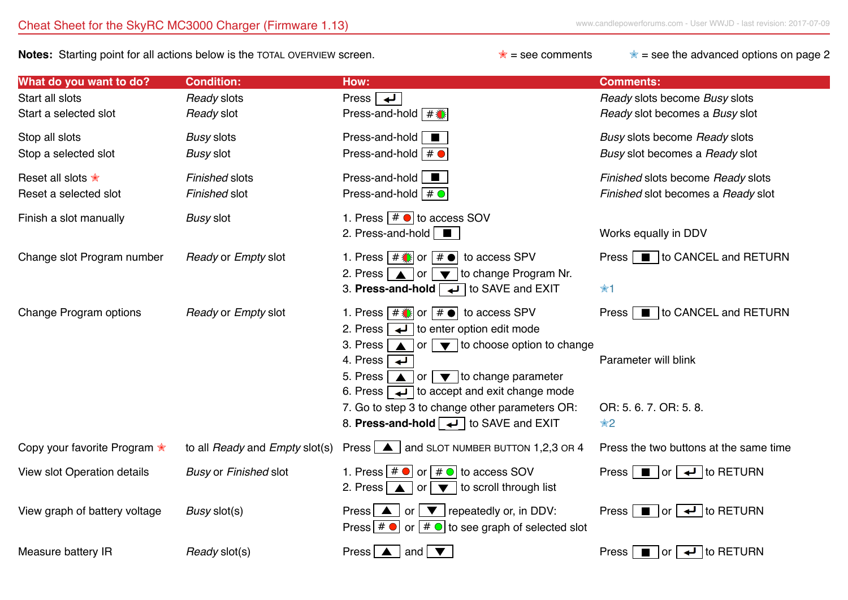**Notes:** Starting point for all actions below is the TOTAL OVERVIEW screen. **<u><b>★** = see comments ★</u> = see the advanced options on page 2

| What do you want to do?                               | <b>Condition:</b>               | How:                                                                                                                                                                                                                                                                                                                                                                                                                                                                     | <b>Comments:</b>                                                                             |
|-------------------------------------------------------|---------------------------------|--------------------------------------------------------------------------------------------------------------------------------------------------------------------------------------------------------------------------------------------------------------------------------------------------------------------------------------------------------------------------------------------------------------------------------------------------------------------------|----------------------------------------------------------------------------------------------|
| Start all slots<br>Start a selected slot              | Ready slots<br>Ready slot       | Press $\rightarrow$<br>Press-and-hold $\sqrt{\frac{4}{10}}$                                                                                                                                                                                                                                                                                                                                                                                                              | Ready slots become Busy slots<br>Ready slot becomes a Busy slot                              |
| Stop all slots<br>Stop a selected slot                | <b>Busy slots</b><br>Busy slot  | Press-and-hold $\Box$<br>Press-and-hold $# \bullet$                                                                                                                                                                                                                                                                                                                                                                                                                      | Busy slots become Ready slots<br>Busy slot becomes a Ready slot                              |
| Reset all slots <del>*</del><br>Reset a selected slot | Finished slots<br>Finished slot | Press-and-hold $\Box$<br>Press-and-hold $# \odot$                                                                                                                                                                                                                                                                                                                                                                                                                        | Finished slots become Ready slots<br>Finished slot becomes a Ready slot                      |
| Finish a slot manually                                | <b>Busy slot</b>                | 1. Press $# \bullet$ to access SOV<br>2. Press-and-hold $\Box$                                                                                                                                                                                                                                                                                                                                                                                                           | Works equally in DDV                                                                         |
| Change slot Program number                            | Ready or Empty slot             | 1. Press $\boxed{\# \times}$ or $\boxed{\# \bullet}$<br>to access SPV<br>$\Box$ or $\Box$ to change Program Nr.<br>2. Press $\sqrt{ }$<br>3. Press-and-hold $\boxed{\rightarrow}$ to SAVE and EXIT                                                                                                                                                                                                                                                                       | Press ■ to CANCEL and RETURN<br>☆1                                                           |
| Change Program options                                | Ready or Empty slot             | 1. Press $\boxed{\# \times}$ or $\boxed{\# \bullet}$ to access SPV<br>2. Press<br>$\overline{\mathbf{I}}$ to enter option edit mode<br>$\Box$ or $\Box$ to choose option to change<br>3. Press<br>4. Press<br>$\overline{\phantom{a}}$<br>5. Press<br>$\log$ $\sqrt{\bullet}$ to change parameter<br>6. Press $\boxed{\rightarrow}$ to accept and exit change mode<br>7. Go to step 3 to change other parameters OR:<br>8. Press-and-hold $\rightarrow$ to SAVE and EXIT | to CANCEL and RETURN<br><b>Press</b><br>Parameter will blink<br>OR: 5. 6. 7. OR: 5. 8.<br>☆2 |
| Copy your favorite Program <del>*</del>               | to all Ready and Empty slot(s)  | Press $\boxed{\blacktriangle}$ and SLOT NUMBER BUTTON 1,2,3 OR 4                                                                                                                                                                                                                                                                                                                                                                                                         | Press the two buttons at the same time                                                       |
| View slot Operation details                           | <b>Busy or Finished slot</b>    | 1. Press $ # \bullet $ or $# \bullet $ to access SOV<br>$\blacktriangleright$ to scroll through list<br>2. Press $\Delta$<br>or                                                                                                                                                                                                                                                                                                                                          | Press $\Box$ or $\Box$ to RETURN                                                             |
| View graph of battery voltage                         | Busy slot(s)                    | Press $\boxed{\blacktriangle}$ or $\boxed{\blacktriangledown}$ repeatedly or, in DDV:<br>Press $\boxed{\# \bullet}$ or $\boxed{\# \bullet}$ to see graph of selected slot                                                                                                                                                                                                                                                                                                | Press $\Box$ or $\Box$ to RETURN                                                             |
| Measure battery IR                                    | Ready slot(s)                   | and $\overline{\blacktriangledown}$<br><b>Press</b><br>$\blacktriangle$                                                                                                                                                                                                                                                                                                                                                                                                  | $\overline{\leftarrow}$ to RETURN<br>Press  <br>$\blacksquare$   or                          |